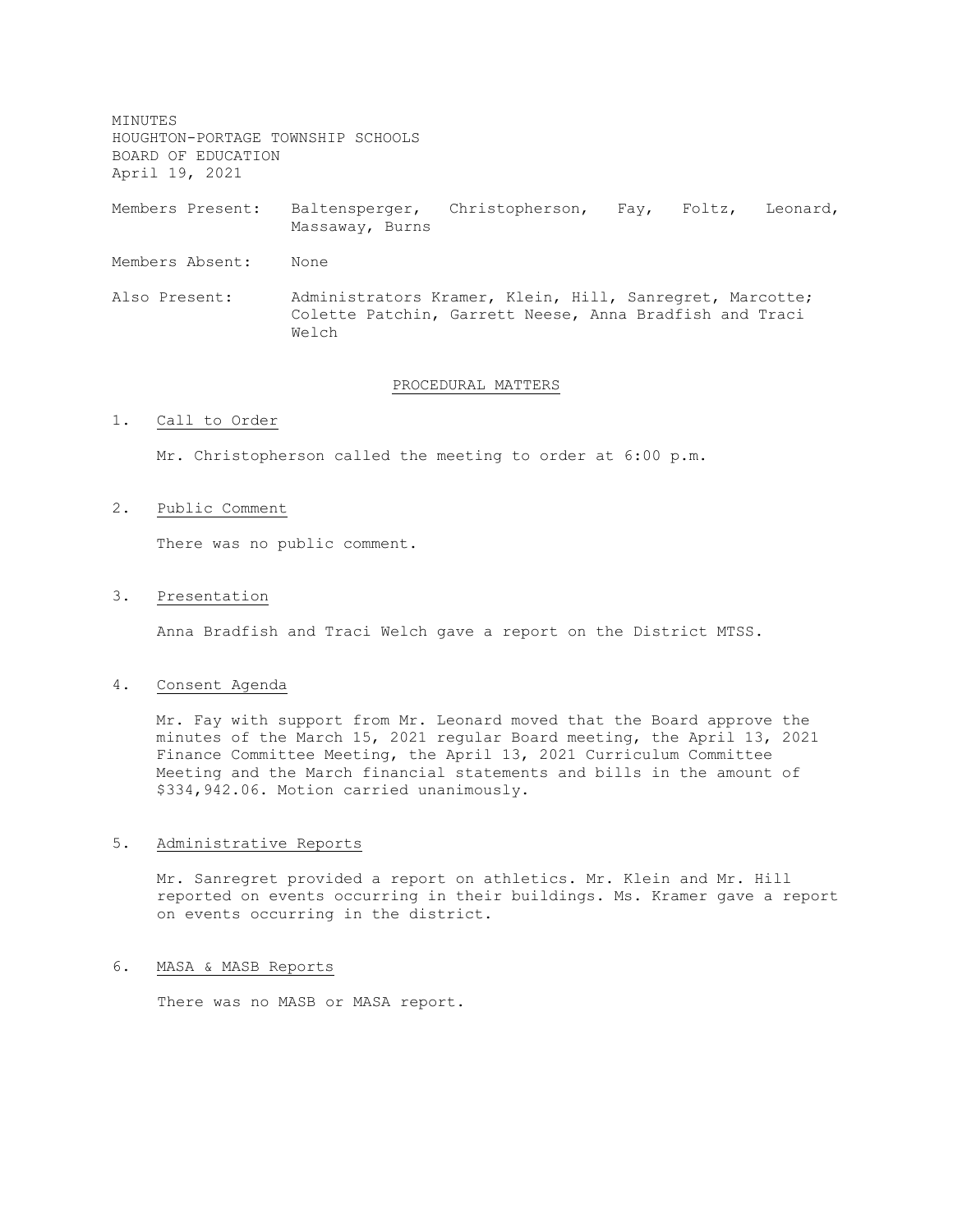MINUTES HOUGHTON-PORTAGE TOWNSHIP SCHOOLS BOARD OF EDUCATION April 19, 2021

Members Present: Baltensperger, Christopherson, Fay, Foltz, Leonard, Massaway, Burns

Members Absent: None

Also Present: Administrators Kramer, Klein, Hill, Sanregret, Marcotte; Colette Patchin, Garrett Neese, Anna Bradfish and Traci Welch

#### PROCEDURAL MATTERS

### 1. Call to Order

Mr. Christopherson called the meeting to order at 6:00 p.m.

#### 2. Public Comment

There was no public comment.

#### 3. Presentation

Anna Bradfish and Traci Welch gave a report on the District MTSS.

#### 4. Consent Agenda

Mr. Fay with support from Mr. Leonard moved that the Board approve the minutes of the March 15, 2021 regular Board meeting, the April 13, 2021 Finance Committee Meeting, the April 13, 2021 Curriculum Committee Meeting and the March financial statements and bills in the amount of \$334,942.06. Motion carried unanimously.

### 5. Administrative Reports

Mr. Sanregret provided a report on athletics. Mr. Klein and Mr. Hill reported on events occurring in their buildings. Ms. Kramer gave a report on events occurring in the district.

### 6. MASA & MASB Reports

There was no MASB or MASA report.